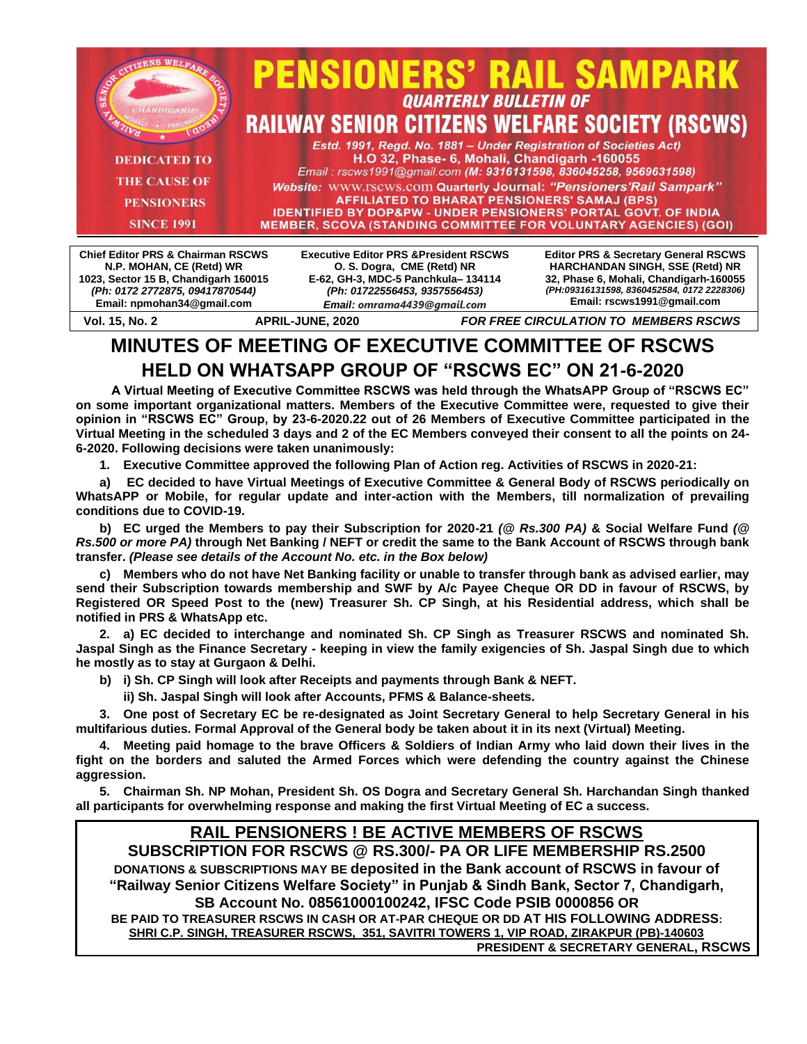

**MINUTES OF MEETING OF EXECUTIVE COMMITTEE OF RSCWS HELD ON WHATSAPP GROUP OF "RSCWS EC" ON 21-6-2020** 

**Vol. 15, No. 2 APRIL-JUNE, 2020** *FOR FREE CIRCULATION TO MEMBERS RSCWS*

*Email: omrama4439@gmail.com*

**A Virtual Meeting of Executive Committee RSCWS was held through the WhatsAPP Group of "RSCWS EC" on some important organizational matters. Members of the Executive Committee were, requested to give their opinion in "RSCWS EC" Group, by 23-6-2020.22 out of 26 Members of Executive Committee participated in the Virtual Meeting in the scheduled 3 days and 2 of the EC Members conveyed their consent to all the points on 24- 6-2020. Following decisions were taken unanimously:**

**1. Executive Committee approved the following Plan of Action reg. Activities of RSCWS in 2020-21:**

**a) EC decided to have Virtual Meetings of Executive Committee & General Body of RSCWS periodically on WhatsAPP or Mobile, for regular update and inter-action with the Members, till normalization of prevailing conditions due to COVID-19.**

**b) EC urged the Members to pay their Subscription for 2020-21** *(@ Rs.300 PA)* **& Social Welfare Fund** *(@ Rs.500 or more PA)* **through Net Banking / NEFT or credit the same to the Bank Account of RSCWS through bank transfer.** *(Please see details of the Account No. etc. in the Box below)*

**c) Members who do not have Net Banking facility or unable to transfer through bank as advised earlier, may send their Subscription towards membership and SWF by A/c Payee Cheque OR DD in favour of RSCWS, by Registered OR Speed Post to the (new) Treasurer Sh. CP Singh, at his Residential address, which shall be notified in PRS & WhatsApp etc.**

**2. a) EC decided to interchange and nominated Sh. CP Singh as Treasurer RSCWS and nominated Sh. Jaspal Singh as the Finance Secretary - keeping in view the family exigencies of Sh. Jaspal Singh due to which he mostly as to stay at Gurgaon & Delhi.**

**b) i) Sh. CP Singh will look after Receipts and payments through Bank & NEFT.**

**ii) Sh. Jaspal Singh will look after Accounts, PFMS & Balance-sheets.**

**Email: npmohan34@gmail.com**

**3. One post of Secretary EC be re-designated as Joint Secretary General to help Secretary General in his multifarious duties. Formal Approval of the General body be taken about it in its next (Virtual) Meeting.**

**4. Meeting paid homage to the brave Officers & Soldiers of Indian Army who laid down their lives in the fight on the borders and saluted the Armed Forces which were defending the country against the Chinese aggression.**

**5. Chairman Sh. NP Mohan, President Sh. OS Dogra and Secretary General Sh. Harchandan Singh thanked all participants for overwhelming response and making the first Virtual Meeting of EC a success.**

# **RAIL PENSIONERS ! BE ACTIVE MEMBERS OF RSCWS**

**SUBSCRIPTION FOR RSCWS @ RS.300/- PA OR LIFE MEMBERSHIP RS.2500 DONATIONS & SUBSCRIPTIONS MAY BE deposited in the Bank account of RSCWS in favour of "Railway Senior Citizens Welfare Society" in Punjab & Sindh Bank, Sector 7, Chandigarh, SB Account No. 08561000100242, IFSC Code PSIB 0000856 OR BE PAID TO TREASURER RSCWS IN CASH OR AT-PAR CHEQUE OR DD AT HIS FOLLOWING ADDRESS: SHRI C.P. SINGH, TREASURER RSCWS, 351, SAVITRI TOWERS 1, VIP ROAD, ZIRAKPUR (PB)-140603** 

**PRESIDENT & SECRETARY GENERAL, RSCWS**

**Email: rscws1991@gmail.com**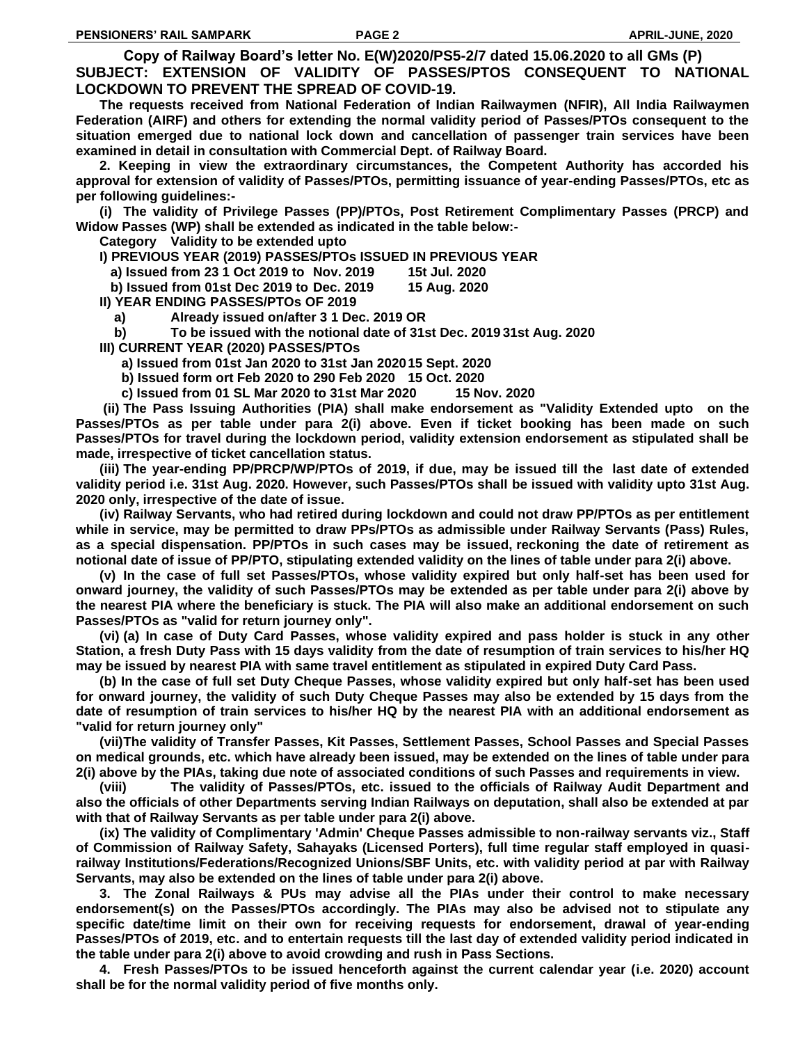**Copy of Railway Board's letter No. E(W)2020/PS5-2/7 dated 15.06.2020 to all GMs (P) SUBJECT: EXTENSION OF VALIDITY OF PASSES/PTOS CONSEQUENT TO NATIONAL LOCKDOWN TO PREVENT THE SPREAD OF COVID-19.**

**The requests received from National Federation of Indian Railwaymen (NFIR), All India Railwaymen Federation (AIRF) and others for extending the normal validity period of Passes/PTOs consequent to the situation emerged due to national lock down and cancellation of passenger train services have been examined in detail in consultation with Commercial Dept. of Railway Board.**

**2. Keeping in view the extraordinary circumstances, the Competent Authority has accorded his approval for extension of validity of Passes/PTOs, permitting issuance of year-ending Passes/PTOs, etc as per following guidelines:-**

**(i) The validity of Privilege Passes (PP)/PTOs, Post Retirement Complimentary Passes (PRCP) and Widow Passes (WP) shall be extended as indicated in the table below:-**

**Category Validity to be extended upto**

**I) PREVIOUS YEAR (2019) PASSES/PTOs ISSUED IN PREVIOUS YEAR**

- **a) Issued from 23 1 Oct 2019 to Nov. 2019 15t Jul. 2020**
- **b) Issued from 01st Dec 2019 to Dec. 2019 15 Aug. 2020**

**II) YEAR ENDING PASSES/PTOs OF 2019**

- **a) Already issued on/after 3 1 Dec. 2019 OR**
- **b) To be issued with the notional date of 31st Dec. 2019 31st Aug. 2020**
- **III) CURRENT YEAR (2020) PASSES/PTOs**
	- **a) Issued from 01st Jan 2020 to 31st Jan 202015 Sept. 2020**
	- **b) Issued form ort Feb 2020 to 290 Feb 2020 15 Oct. 2020**
	- **c) Issued from 01 SL Mar 2020 to 31st Mar 2020 15 Nov. 2020**

**(ii) The Pass Issuing Authorities (PIA) shall make endorsement as "Validity Extended upto on the Passes/PTOs as per table under para 2(i) above. Even if ticket booking has been made on such Passes/PTOs for travel during the lockdown period, validity extension endorsement as stipulated shall be made, irrespective of ticket cancellation status.**

**(iii) The year-ending PP/PRCP/WP/PTOs of 2019, if due, may be issued till the last date of extended validity period i.e. 31st Aug. 2020. However, such Passes/PTOs shall be issued with validity upto 31st Aug. 2020 only, irrespective of the date of issue.**

**(iv) Railway Servants, who had retired during lockdown and could not draw PP/PTOs as per entitlement while in service, may be permitted to draw PPs/PTOs as admissible under Railway Servants (Pass) Rules, as a special dispensation. PP/PTOs in such cases may be issued, reckoning the date of retirement as notional date of issue of PP/PTO, stipulating extended validity on the lines of table under para 2(i) above.**

**(v) In the case of full set Passes/PTOs, whose validity expired but only half-set has been used for onward journey, the validity of such Passes/PTOs may be extended as per table under para 2(i) above by the nearest PIA where the beneficiary is stuck. The PIA will also make an additional endorsement on such Passes/PTOs as "valid for return journey only".**

**(vi) (a) In case of Duty Card Passes, whose validity expired and pass holder is stuck in any other Station, a fresh Duty Pass with 15 days validity from the date of resumption of train services to his/her HQ may be issued by nearest PIA with same travel entitlement as stipulated in expired Duty Card Pass.**

**(b) In the case of full set Duty Cheque Passes, whose validity expired but only half-set has been used for onward journey, the validity of such Duty Cheque Passes may also be extended by 15 days from the date of resumption of train services to his/her HQ by the nearest PIA with an additional endorsement as "valid for return journey only"**

**(vii)The validity of Transfer Passes, Kit Passes, Settlement Passes, School Passes and Special Passes on medical grounds, etc. which have already been issued, may be extended on the lines of table under para 2(i) above by the PIAs, taking due note of associated conditions of such Passes and requirements in view.**

**(viii) The validity of Passes/PTOs, etc. issued to the officials of Railway Audit Department and also the officials of other Departments serving Indian Railways on deputation, shall also be extended at par with that of Railway Servants as per table under para 2(i) above.**

**(ix) The validity of Complimentary 'Admin' Cheque Passes admissible to non-railway servants viz., Staff of Commission of Railway Safety, Sahayaks (Licensed Porters), full time regular staff employed in quasirailway Institutions/Federations/Recognized Unions/SBF Units, etc. with validity period at par with Railway Servants, may also be extended on the lines of table under para 2(i) above.**

**3. The Zonal Railways & PUs may advise all the PIAs under their control to make necessary endorsement(s) on the Passes/PTOs accordingly. The PIAs may also be advised not to stipulate any specific date/time limit on their own for receiving requests for endorsement, drawal of year-ending Passes/PTOs of 2019, etc. and to entertain requests till the last day of extended validity period indicated in the table under para 2(i) above to avoid crowding and rush in Pass Sections.**

**4. Fresh Passes/PTOs to be issued henceforth against the current calendar year (i.e. 2020) account shall be for the normal validity period of five months only.**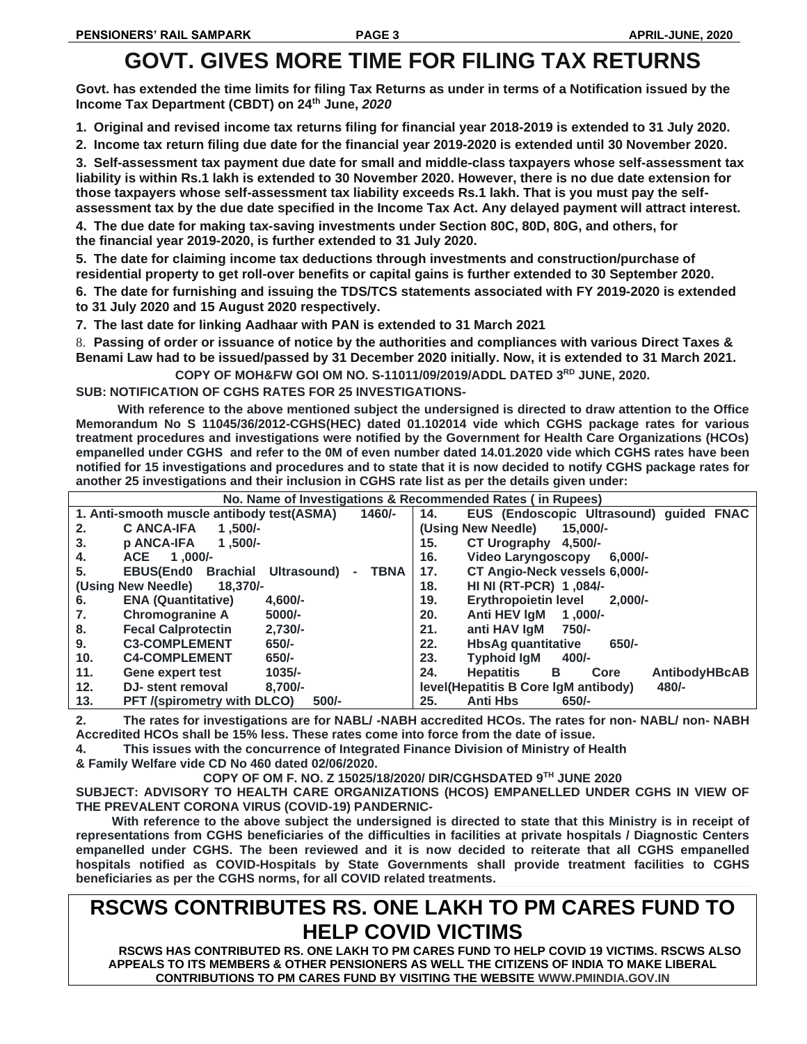# **GOVT. GIVES MORE TIME FOR FILING TAX RETURNS**

**Govt. has extended the time limits for filing Tax Returns as under in terms of a Notification issued by the Income Tax Department (CBDT) on 24th June,** *2020*

**1. Original and revised income tax returns filing for financial year 2018-2019 is extended to 31 July 2020.**

**2. Income tax return filing due date for the financial year 2019-2020 is extended until 30 November 2020.**

**3. Self-assessment tax payment due date for small and middle-class taxpayers whose self-assessment tax liability is within Rs.1 lakh is extended to 30 November 2020. However, there is no due date extension for those taxpayers whose self-assessment tax liability exceeds Rs.1 lakh. That is you must pay the selfassessment tax by the due date specified in the Income Tax Act. Any delayed payment will attract interest.**

**4. The due date for making tax-saving investments under Section 80C, 80D, 80G, and others, for the financial year 2019-2020, is further extended to 31 July 2020.**

**5. The date for claiming income tax deductions through investments and construction/purchase of residential property to get roll-over benefits or capital gains is further extended to 30 September 2020.**

**6. The date for furnishing and issuing the TDS/TCS statements associated with FY 2019-2020 is extended to 31 July 2020 and 15 August 2020 respectively.**

**7. The last date for linking Aadhaar with PAN is extended to 31 March 2021**

8. **Passing of order or issuance of notice by the authorities and compliances with various Direct Taxes & Benami Law had to be issued/passed by 31 December 2020 initially. Now, it is extended to 31 March 2021.**

**COPY OF MOH&FW GOI OM NO. S-11011/09/2019/ADDL DATED 3RD JUNE, 2020.**

**SUB: NOTIFICATION OF CGHS RATES FOR 25 INVESTIGATIONS-**

**With reference to the above mentioned subject the undersigned is directed to draw attention to the Office Memorandum No S 11045/36/2012-CGHS(HEC) dated 01.102014 vide which CGHS package rates for various treatment procedures and investigations were notified by the Government for Health Care Organizations (HCOs) empanelled under CGHS and refer to the 0M of even number dated 14.01.2020 vide which CGHS rates have been notified for 15 investigations and procedures and to state that it is now decided to notify CGHS package rates for another 25 investigations and their inclusion in CGHS rate list as per the details given under:**

| No. Name of Investigations & Recommended Rates (in Rupees)         |                                                              |  |
|--------------------------------------------------------------------|--------------------------------------------------------------|--|
| $1460/-$<br>1. Anti-smooth muscle antibody test(ASMA)              | EUS (Endoscopic Ultrasound) guided FNAC<br>14.               |  |
| <b>C ANCA-IFA</b><br>$1.500/-$<br>2.                               | (Using New Needle)<br>$15,000/-$                             |  |
| <b>p ANCA-IFA</b><br>$1.500/-$<br>3.                               | 15.<br>CT Urography 4,500/-                                  |  |
| ACE 1.000/-<br>4.                                                  | 16.<br><b>Video Larvngoscopy</b><br>$6.000/-$                |  |
| 5.<br><b>EBUS(End0</b><br>Brachial Ultrasound)<br><b>TBNA</b><br>٠ | CT Angio-Neck vessels 6,000/-<br>17.                         |  |
| (Using New Needle)<br>18.370/-                                     | HI NI (RT-PCR) 1,084/-<br>18.                                |  |
| <b>ENA (Quantitative)</b><br>$4.600/-$<br>6.                       | <b>Erythropoietin level</b><br>19.<br>$2.000/-$              |  |
| <b>Chromogranine A</b><br>5000/-<br>7.                             | Anti HEV IgM<br>20.<br>$1.000/-$                             |  |
| 8.<br>$2.730/-$<br><b>Fecal Calprotectin</b>                       | 21.<br>anti HAV laM 750/-                                    |  |
| <b>C3-COMPLEMENT</b><br>9.<br>$650/-$                              | 22.<br><b>HbsAg quantitative</b><br>$650/-$                  |  |
| 10 <sub>1</sub><br><b>C4-COMPLEMENT</b><br>$650/-$                 | 23.<br><b>Typhoid laM</b><br>400/-                           |  |
| 11.<br>$1035/-$<br><b>Gene expert test</b>                         | 24.<br><b>Hepatitis</b><br><b>AntibodyHBcAB</b><br>B<br>Core |  |
| 12.<br>$8,700/-$<br>DJ- stent removal                              | level(Hepatitis B Core IgM antibody)<br>480/-                |  |
| 13.<br><b>PFT</b> /(spirometry with DLCO)<br>$500/-$               | <b>Anti Hbs</b><br>25.<br>$650/-$                            |  |

**2. The rates for investigations are for NABL/ -NABH accredited HCOs. The rates for non- NABL/ non- NABH Accredited HCOs shall be 15% less. These rates come into force from the date of issue.**

**4. This issues with the concurrence of Integrated Finance Division of Ministry of Health & Family Welfare vide CD No 460 dated 02/06/2020.**

**COPY OF OM F. NO. Z 15025/18/2020/ DIR/CGHSDATED 9TH JUNE 2020**

**SUBJECT: ADVISORY TO HEALTH CARE ORGANIZATIONS (HCOS) EMPANELLED UNDER CGHS IN VIEW OF THE PREVALENT CORONA VIRUS (COVID-19) PANDERNIC-**

**With reference to the above subject the undersigned is directed to state that this Ministry is in receipt of representations from CGHS beneficiaries of the difficulties in facilities at private hospitals / Diagnostic Centers empanelled under CGHS. The been reviewed and it is now decided to reiterate that all CGHS empanelled hospitals notified as COVID-HospitaIs by State Governments shall provide treatment facilities to CGHS beneficiaries as per the CGHS norms, for all COVID related treatments.**

# **RSCWS CONTRIBUTES RS. ONE LAKH TO PM CARES FUND TO HELP COVID VICTIMS**

**RSCWS HAS CONTRIBUTED RS. ONE LAKH TO PM CARES FUND TO HELP COVID 19 VICTIMS. RSCWS ALSO APPEALS TO ITS MEMBERS & OTHER PENSIONERS AS WELL THE CITIZENS OF INDIA TO MAKE LIBERAL CONTRIBUTIONS TO PM CARES FUND BY VISITING THE WEBSITE WWW.PMINDIA.GOV.IN**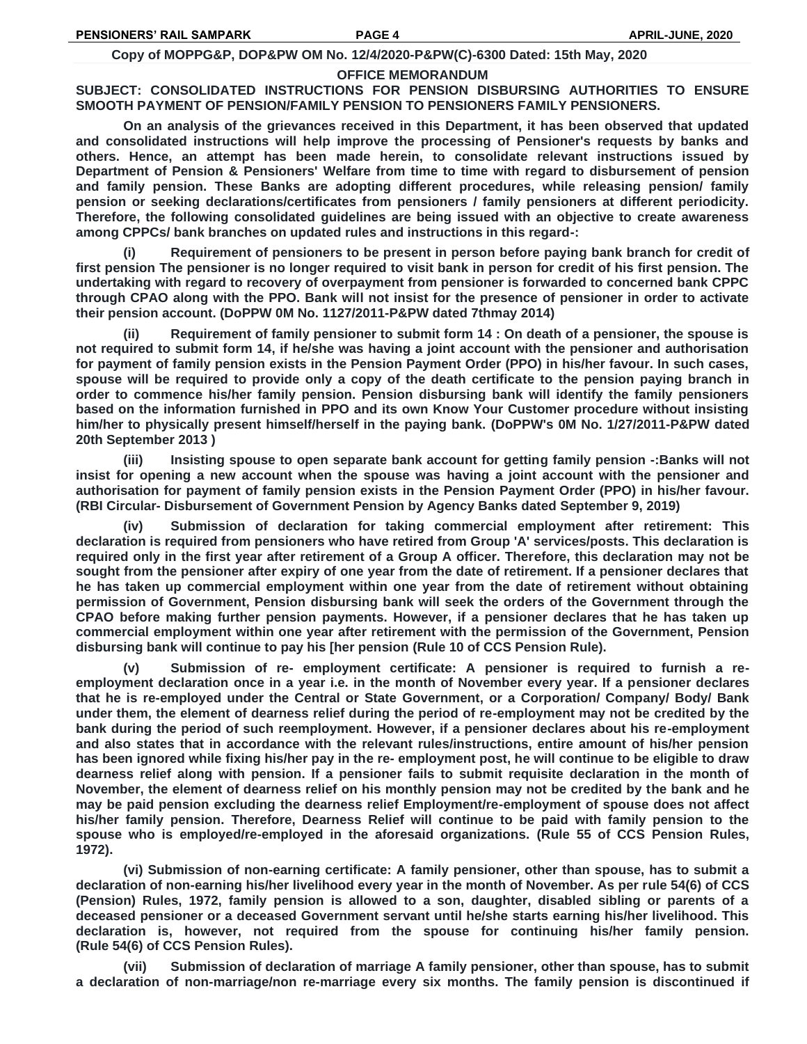#### **Copy of MOPPG&P, DOP&PW OM No. 12/4/2020-P&PW(C)-6300 Dated: 15th May, 2020**

### **OFFICE MEMORANDUM**

# **SUBJECT: CONSOLIDATED INSTRUCTIONS FOR PENSION DISBURSING AUTHORITIES TO ENSURE SMOOTH PAYMENT OF PENSION/FAMILY PENSION TO PENSIONERS FAMILY PENSIONERS.**

**On an analysis of the grievances received in this Department, it has been observed that updated and consolidated instructions will help improve the processing of Pensioner's requests by banks and others. Hence, an attempt has been made herein, to consolidate relevant instructions issued by Department of Pension & Pensioners' Welfare from time to time with regard to disbursement of pension and family pension. These Banks are adopting different procedures, while releasing pension/ family pension or seeking declarations/certificates from pensioners / family pensioners at different periodicity. Therefore, the following consolidated guidelines are being issued with an objective to create awareness among CPPCs/ bank branches on updated rules and instructions in this regard-:**

**(i) Requirement of pensioners to be present in person before paying bank branch for credit of first pension The pensioner is no longer required to visit bank in person for credit of his first pension. The undertaking with regard to recovery of overpayment from pensioner is forwarded to concerned bank CPPC through CPAO along with the PPO. Bank will not insist for the presence of pensioner in order to activate their pension account. (DoPPW 0M No. 1127/2011-P&PW dated 7thmay 2014)**

**(ii) Requirement of family pensioner to submit form 14 : On death of a pensioner, the spouse is not required to submit form 14, if he/she was having a joint account with the pensioner and authorisation for payment of family pension exists in the Pension Payment Order (PPO) in his/her favour. In such cases, spouse will be required to provide only a copy of the death certificate to the pension paying branch in order to commence his/her family pension. Pension disbursing bank will identify the family pensioners based on the information furnished in PPO and its own Know Your Customer procedure without insisting him/her to physically present himself/herself in the paying bank. (DoPPW's 0M No. 1/27/2011-P&PW dated 20th September 2013 )**

**(iii) Insisting spouse to open separate bank account for getting family pension -:Banks will not insist for opening a new account when the spouse was having a joint account with the pensioner and authorisation for payment of family pension exists in the Pension Payment Order (PPO) in his/her favour. (RBI Circular- Disbursement of Government Pension by Agency Banks dated September 9, 2019)**

**(iv) Submission of declaration for taking commercial employment after retirement: This declaration is required from pensioners who have retired from Group 'A' services/posts. This declaration is required only in the first year after retirement of a Group A officer. Therefore, this declaration may not be sought from the pensioner after expiry of one year from the date of retirement. If a pensioner declares that he has taken up commercial employment within one year from the date of retirement without obtaining permission of Government, Pension disbursing bank will seek the orders of the Government through the CPAO before making further pension payments. However, if a pensioner declares that he has taken up commercial employment within one year after retirement with the permission of the Government, Pension disbursing bank will continue to pay his [her pension (Rule 10 of CCS Pension Rule).**

**(v) Submission of re- employment certificate: A pensioner is required to furnish a reemployment declaration once in a year i.e. in the month of November every year. If a pensioner declares that he is re-employed under the Central or State Government, or a Corporation/ Company/ Body/ Bank under them, the element of dearness relief during the period of re-employment may not be credited by the bank during the period of such reemployment. However, if a pensioner declares about his re-employment and also states that in accordance with the relevant rules/instructions, entire amount of his/her pension has been ignored while fixing his/her pay in the re- employment post, he will continue to be eligible to draw dearness relief along with pension. If a pensioner fails to submit requisite declaration in the month of November, the element of dearness relief on his monthly pension may not be credited by the bank and he may be paid pension excluding the dearness relief Employment/re-employment of spouse does not affect his/her family pension. Therefore, Dearness Relief will continue to be paid with family pension to the spouse who is employed/re-employed in the aforesaid organizations. (Rule 55 of CCS Pension Rules, 1972).**

**(vi) Submission of non-earning certificate: A family pensioner, other than spouse, has to submit a declaration of non-earning his/her livelihood every year in the month of November. As per rule 54(6) of CCS (Pension) Rules, 1972, family pension is allowed to a son, daughter, disabled sibling or parents of a deceased pensioner or a deceased Government servant until he/she starts earning his/her livelihood. This declaration is, however, not required from the spouse for continuing his/her family pension. (Rule 54(6) of CCS Pension Rules).**

**(vii) Submission of declaration of marriage A family pensioner, other than spouse, has to submit a declaration of non-marriage/non re-marriage every six months. The family pension is discontinued if**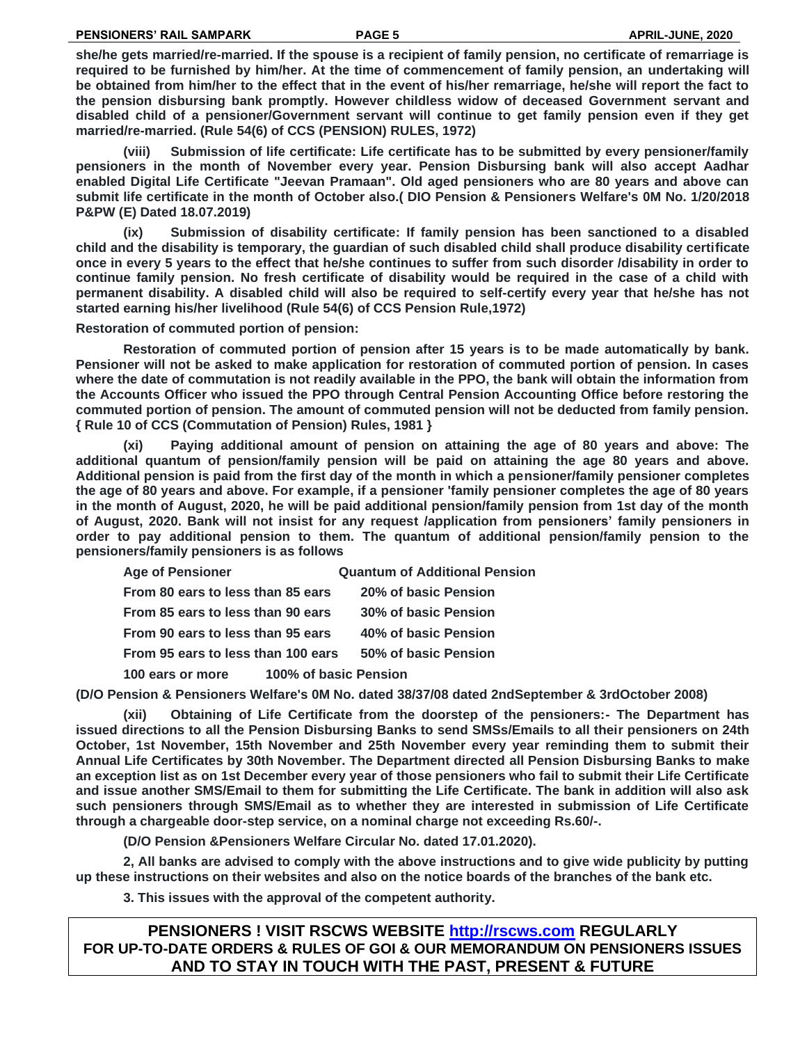**she/he gets married/re-married. If the spouse is a recipient of family pension, no certificate of remarriage is required to be furnished by him/her. At the time of commencement of family pension, an undertaking will be obtained from him/her to the effect that in the event of his/her remarriage, he/she will report the fact to the pension disbursing bank promptly. However childless widow of deceased Government servant and disabled child of a pensioner/Government servant will continue to get family pension even if they get married/re-married. (Rule 54(6) of CCS (PENSION) RULES, 1972)**

**(viii) Submission of life certificate: Life certificate has to be submitted by every pensioner/family pensioners in the month of November every year. Pension Disbursing bank will also accept Aadhar enabled Digital Life Certificate "Jeevan Pramaan". Old aged pensioners who are 80 years and above can submit life certificate in the month of October also.( DIO Pension & Pensioners Welfare's 0M No. 1/20/2018 P&PW (E) Dated 18.07.2019)**

**(ix) Submission of disability certificate: If family pension has been sanctioned to a disabled child and the disability is temporary, the guardian of such disabled child shall produce disability certificate once in every 5 years to the effect that he/she continues to suffer from such disorder /disability in order to continue family pension. No fresh certificate of disability would be required in the case of a child with permanent disability. A disabled child will also be required to self-certify every year that he/she has not started earning his/her livelihood (Rule 54(6) of CCS Pension Rule,1972)**

**Restoration of commuted portion of pension:**

**Restoration of commuted portion of pension after 15 years is to be made automatically by bank. Pensioner will not be asked to make application for restoration of commuted portion of pension. In cases where the date of commutation is not readily available in the PPO, the bank will obtain the information from the Accounts Officer who issued the PPO through Central Pension Accounting Office before restoring the commuted portion of pension. The amount of commuted pension will not be deducted from family pension. { Rule 10 of CCS (Commutation of Pension) Rules, 1981 }**

**(xi) Paying additional amount of pension on attaining the age of 80 years and above: The additional quantum of pension/family pension will be paid on attaining the age 80 years and above. Additional pension is paid from the first day of the month in which a pensioner/family pensioner completes the age of 80 years and above. For example, if a pensioner 'family pensioner completes the age of 80 years in the month of August, 2020, he will be paid additional pension/family pension from 1st day of the month of August, 2020. Bank will not insist for any request /application from pensioners' family pensioners in order to pay additional pension to them. The quantum of additional pension/family pension to the pensioners/family pensioners is as follows**

| <b>Age of Pensioner</b>            | <b>Quantum of Additional Pension</b> |
|------------------------------------|--------------------------------------|
| From 80 ears to less than 85 ears  | 20% of basic Pension                 |
| From 85 ears to less than 90 ears  | 30% of basic Pension                 |
| From 90 ears to less than 95 ears  | 40% of basic Pension                 |
| From 95 ears to less than 100 ears | 50% of basic Pension                 |
| 100 ears or more                   | 100% of basic Pension                |

**(D/O Pension & Pensioners Welfare's 0M No. dated 38/37/08 dated 2ndSeptember & 3rdOctober 2008)**

**(xii) Obtaining of Life Certificate from the doorstep of the pensioners:- The Department has issued directions to all the Pension Disbursing Banks to send SMSs/Emails to all their pensioners on 24th October, 1st November, 15th November and 25th November every year reminding them to submit their Annual Life Certificates by 30th November. The Department directed all Pension Disbursing Banks to make an exception list as on 1st December every year of those pensioners who fail to submit their Life Certificate and issue another SMS/Email to them for submitting the Life Certificate. The bank in addition will also ask such pensioners through SMS/Email as to whether they are interested in submission of Life Certificate through a chargeable door-step service, on a nominal charge not exceeding Rs.60/-.** 

**(D/O Pension &Pensioners Welfare Circular No. dated 17.01.2020).**

**2, All banks are advised to comply with the above instructions and to give wide publicity by putting up these instructions on their websites and also on the notice boards of the branches of the bank etc.**

**3. This issues with the approval of the competent authority.**

**PENSIONERS ! VISIT RSCWS WEBSITE [http://rscws.com](http://rscws.com/) REGULARLY FOR UP-TO-DATE ORDERS & RULES OF GOI & OUR MEMORANDUM ON PENSIONERS ISSUES AND TO STAY IN TOUCH WITH THE PAST, PRESENT & FUTURE**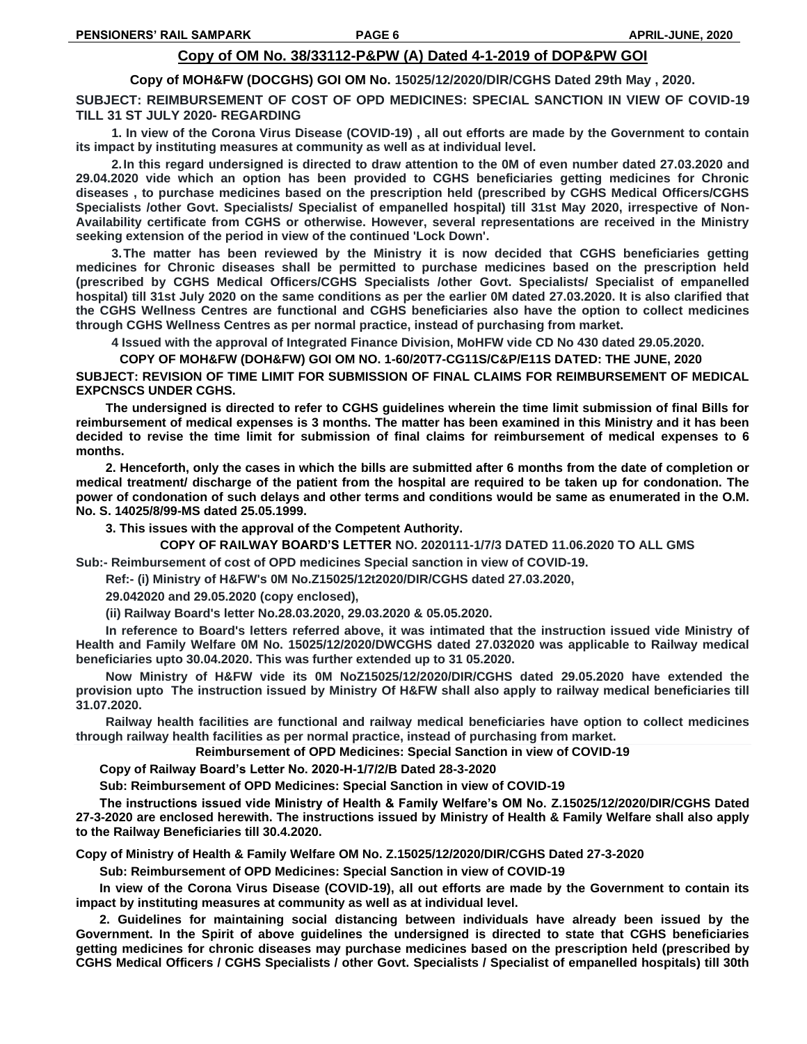# **Copy of OM No. 38/33112-P&PW (A) Dated 4-1-2019 of DOP&PW GOI**

**Copy of MOH&FW (DOCGHS) GOI OM No. 15025/12/2020/DlR/CGHS Dated 29th May , 2020.**

**SUBJECT: REIMBURSEMENT OF COST OF OPD MEDICINES: SPECIAL SANCTION IN VIEW OF COVID-19 TILL 31 ST JULY 2020- REGARDING**

**1. In view of the Corona Virus Disease (COVID-19) , all out efforts are made by the Government to contain its impact by instituting measures at community as well as at individual level.**

**2.In this regard undersigned is directed to draw attention to the 0M of even number dated 27.03.2020 and 29.04.2020 vide which an option has been provided to CGHS beneficiaries getting medicines for Chronic diseases , to purchase medicines based on the prescription held (prescribed by CGHS Medical Officers/CGHS Specialists /other Govt. Specialists/ Specialist of empanelled hospital) till 31st May 2020, irrespective of Non-Availability certificate from CGHS or otherwise. However, several representations are received in the Ministry seeking extension of the period in view of the continued 'Lock Down'.**

**3.The matter has been reviewed by the Ministry it is now decided that CGHS beneficiaries getting medicines for Chronic diseases shall be permitted to purchase medicines based on the prescription held (prescribed by CGHS Medical Officers/CGHS Specialists /other Govt. Specialists/ Specialist of empanelled hospital) till 31st July 2020 on the same conditions as per the earlier 0M dated 27.03.2020. It is also clarified that the CGHS Wellness Centres are functional and CGHS beneficiaries also have the option to collect medicines through CGHS Wellness Centres as per normal practice, instead of purchasing from market.**

**4 Issued with the approval of Integrated Finance Division, MoHFW vide CD No 430 dated 29.05.2020.**

**COPY OF MOH&FW (DOH&FW) GOI OM NO. 1-60/20T7-CG11S/C&P/E11S DATED: THE JUNE, 2020**

**SUBJECT: REVISION OF TIME LIMIT FOR SUBMISSION OF FINAL CLAIMS FOR REIMBURSEMENT OF MEDICAL EXPCNSCS UNDER CGHS.**

**The undersigned is directed to refer to CGHS guidelines wherein the time limit submission of final Bills for reimbursement of medical expenses is 3 months. The matter has been examined in this Ministry and it has been decided to revise the time limit for submission of final claims for reimbursement of medical expenses to 6 months.**

**2. Henceforth, only the cases in which the bills are submitted after 6 months from the date of completion or medical treatment/ discharge of the patient from the hospital are required to be taken up for condonation. The power of condonation of such delays and other terms and conditions would be same as enumerated in the O.M. No. S. 14025/8/99-MS dated 25.05.1999.**

**3. This issues with the approval of the Competent Authority.**

**COPY OF RAILWAY BOARD'S LETTER NO. 2020111-1/7/3 DATED 11.06.2020 TO ALL GMS**

**Sub:- Reimbursement of cost of OPD medicines Special sanction in view of COVID-19.**

**Ref:- (i) Ministry of H&FW's 0M No.Z15025/12t2020/DIR/CGHS dated 27.03.2020,**

**29.042020 and 29.05.2020 (copy enclosed),**

**(ii) Railway Board's letter No.28.03.2020, 29.03.2020 & 05.05.2020.**

**In reference to Board's letters referred above, it was intimated that the instruction issued vide Ministry of Health and Family Welfare 0M No. 15025/12/2020/DWCGHS dated 27.032020 was applicable to Railway medical beneficiaries upto 30.04.2020. This was further extended up to 31 05.2020.**

**Now Ministry of H&FW vide its 0M NoZ15025/12/2020/DIR/CGHS dated 29.05.2020 have extended the provision upto The instruction issued by Ministry Of H&FW shall also apply to railway medical beneficiaries till 31.07.2020.**

**Railway health facilities are functional and railway medical beneficiaries have option to collect medicines through railway health facilities as per normal practice, instead of purchasing from market.**

**Reimbursement of OPD Medicines: Special Sanction in view of COVID-19**

**Copy of Railway Board's Letter No. 2020-H-1/7/2/B Dated 28-3-2020**

**Sub: Reimbursement of OPD Medicines: Special Sanction in view of COVID-19**

**The instructions issued vide Ministry of Health & Family Welfare's OM No. Z.15025/12/2020/DIR/CGHS Dated 27-3-2020 are enclosed herewith. The instructions issued by Ministry of Health & Family Welfare shall also apply to the Railway Beneficiaries till 30.4.2020.** 

**Copy of Ministry of Health & Family Welfare OM No. Z.15025/12/2020/DIR/CGHS Dated 27-3-2020**

**Sub: Reimbursement of OPD Medicines: Special Sanction in view of COVID-19**

**In view of the Corona Virus Disease (COVID-19), all out efforts are made by the Government to contain its impact by instituting measures at community as well as at individual level.**

**2. Guidelines for maintaining social distancing between individuals have already been issued by the Government. In the Spirit of above guidelines the undersigned is directed to state that CGHS beneficiaries getting medicines for chronic diseases may purchase medicines based on the prescription held (prescribed by CGHS Medical Officers / CGHS Specialists / other Govt. Specialists / Specialist of empanelled hospitals) till 30th**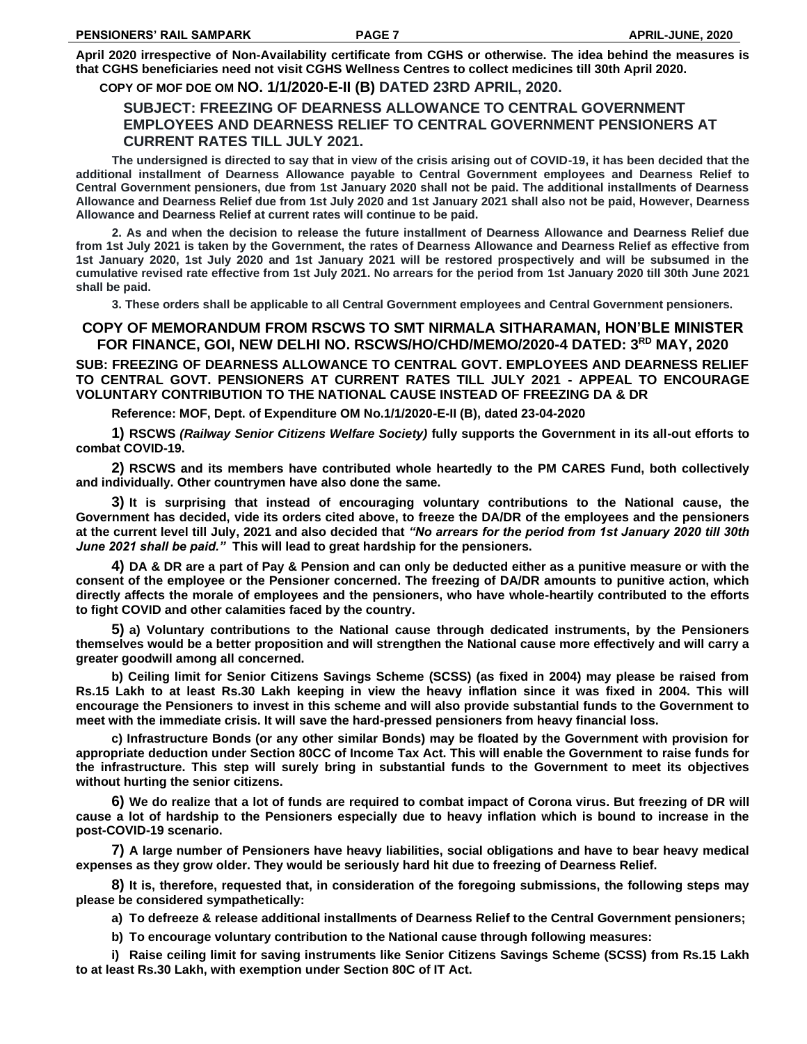**April 2020 irrespective of Non-Availability certificate from CGHS or otherwise. The idea behind the measures is that CGHS beneficiaries need not visit CGHS Wellness Centres to collect medicines till 30th April 2020.**

### **COPY OF MOF DOE OM NO. 1/1/2020-E-II (B) DATED 23RD APRIL, 2020.**

# **SUBJECT: FREEZING OF DEARNESS ALLOWANCE TO CENTRAL GOVERNMENT EMPLOYEES AND DEARNESS RELIEF TO CENTRAL GOVERNMENT PENSIONERS AT CURRENT RATES TILL JULY 2021.**

**The undersigned is directed to say that in view of the crisis arising out of COVID-19, it has been decided that the additional installment of Dearness Allowance payable to Central Government employees and Dearness Relief to Central Government pensioners, due from 1st January 2020 shall not be paid. The additional installments of Dearness Allowance and Dearness Relief due from 1st July 2020 and 1st January 2021 shall also not be paid, However, Dearness Allowance and Dearness Relief at current rates will continue to be paid.**

**2. As and when the decision to release the future installment of Dearness Allowance and Dearness Relief due from 1st July 2021 is taken by the Government, the rates of Dearness Allowance and Dearness Relief as effective from 1st January 2020, 1st July 2020 and 1st January 2021 will be restored prospectively and will be subsumed in the cumulative revised rate effective from 1st July 2021. No arrears for the period from 1st January 2020 till 30th June 2021 shall be paid.**

**3. These orders shall be applicable to all Central Government employees and Central Government pensioners.**

# **COPY OF MEMORANDUM FROM RSCWS TO SMT NIRMALA SITHARAMAN, HON'BLE MINISTER FOR FINANCE, GOI, NEW DELHI NO. RSCWS/HO/CHD/MEMO/2020-4 DATED: 3RD MAY, 2020**

**SUB: FREEZING OF DEARNESS ALLOWANCE TO CENTRAL GOVT. EMPLOYEES AND DEARNESS RELIEF TO CENTRAL GOVT. PENSIONERS AT CURRENT RATES TILL JULY 2021 - APPEAL TO ENCOURAGE VOLUNTARY CONTRIBUTION TO THE NATIONAL CAUSE INSTEAD OF FREEZING DA & DR**

**Reference: MOF, Dept. of Expenditure OM No.1/1/2020-E-II (B), dated 23-04-2020** 

**1) RSCWS** *(Railway Senior Citizens Welfare Society)* **fully supports the Government in its all-out efforts to combat COVID-19.**

**2) RSCWS and its members have contributed whole heartedly to the PM CARES Fund, both collectively and individually. Other countrymen have also done the same.**

**3) It is surprising that instead of encouraging voluntary contributions to the National cause, the Government has decided, vide its orders cited above, to freeze the DA/DR of the employees and the pensioners at the current level till July, 2021 and also decided that** *"No arrears for the period from 1st January 2020 till 30th June 2021 shall be paid."* **This will lead to great hardship for the pensioners.** 

**4) DA & DR are a part of Pay & Pension and can only be deducted either as a punitive measure or with the consent of the employee or the Pensioner concerned. The freezing of DA/DR amounts to punitive action, which directly affects the morale of employees and the pensioners, who have whole-heartily contributed to the efforts to fight COVID and other calamities faced by the country.**

**5) a) Voluntary contributions to the National cause through dedicated instruments, by the Pensioners themselves would be a better proposition and will strengthen the National cause more effectively and will carry a greater goodwill among all concerned.** 

**b) Ceiling limit for Senior Citizens Savings Scheme (SCSS) (as fixed in 2004) may please be raised from Rs.15 Lakh to at least Rs.30 Lakh keeping in view the heavy inflation since it was fixed in 2004. This will encourage the Pensioners to invest in this scheme and will also provide substantial funds to the Government to meet with the immediate crisis. It will save the hard-pressed pensioners from heavy financial loss.**

**c) Infrastructure Bonds (or any other similar Bonds) may be floated by the Government with provision for appropriate deduction under Section 80CC of Income Tax Act. This will enable the Government to raise funds for the infrastructure. This step will surely bring in substantial funds to the Government to meet its objectives without hurting the senior citizens.**

**6) We do realize that a lot of funds are required to combat impact of Corona virus. But freezing of DR will cause a lot of hardship to the Pensioners especially due to heavy inflation which is bound to increase in the post-COVID-19 scenario.**

**7) A large number of Pensioners have heavy liabilities, social obligations and have to bear heavy medical expenses as they grow older. They would be seriously hard hit due to freezing of Dearness Relief.**

**8) It is, therefore, requested that, in consideration of the foregoing submissions, the following steps may please be considered sympathetically:**

**a) To defreeze & release additional installments of Dearness Relief to the Central Government pensioners;**

**b) To encourage voluntary contribution to the National cause through following measures:**

**i) Raise ceiling limit for saving instruments like Senior Citizens Savings Scheme (SCSS) from Rs.15 Lakh to at least Rs.30 Lakh, with exemption under Section 80C of IT Act.**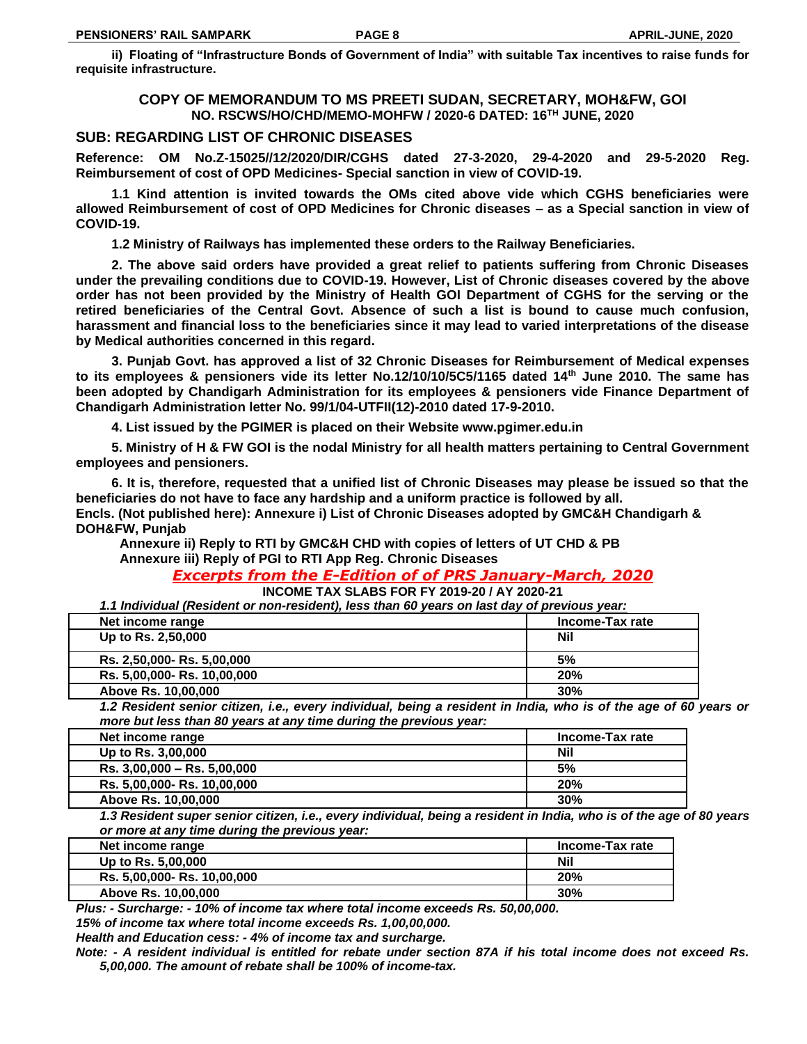**ii) Floating of "Infrastructure Bonds of Government of India" with suitable Tax incentives to raise funds for requisite infrastructure.**

## **COPY OF MEMORANDUM TO MS PREETI SUDAN, SECRETARY, MOH&FW, GOI NO. RSCWS/HO/CHD/MEMO-MOHFW / 2020-6 DATED: 16TH JUNE, 2020**

# **SUB: REGARDING LIST OF CHRONIC DISEASES**

**Reference: OM No.Z-15025//12/2020/DIR/CGHS dated 27-3-2020, 29-4-2020 and 29-5-2020 Reg. Reimbursement of cost of OPD Medicines- Special sanction in view of COVID-19.**

**1.1 Kind attention is invited towards the OMs cited above vide which CGHS beneficiaries were allowed Reimbursement of cost of OPD Medicines for Chronic diseases – as a Special sanction in view of COVID-19.** 

**1.2 Ministry of Railways has implemented these orders to the Railway Beneficiaries.**

**2. The above said orders have provided a great relief to patients suffering from Chronic Diseases under the prevailing conditions due to COVID-19. However, List of Chronic diseases covered by the above order has not been provided by the Ministry of Health GOI Department of CGHS for the serving or the retired beneficiaries of the Central Govt. Absence of such a list is bound to cause much confusion, harassment and financial loss to the beneficiaries since it may lead to varied interpretations of the disease by Medical authorities concerned in this regard.**

**3. Punjab Govt. has approved a list of 32 Chronic Diseases for Reimbursement of Medical expenses to its employees & pensioners vide its letter No.12/10/10/5C5/1165 dated 14th June 2010. The same has been adopted by Chandigarh Administration for its employees & pensioners vide Finance Department of Chandigarh Administration letter No. 99/1/04-UTFII(12)-2010 dated 17-9-2010.**

**4. List issued by the PGIMER is placed on their Website www.pgimer.edu.in**

**5. Ministry of H & FW GOI is the nodal Ministry for all health matters pertaining to Central Government employees and pensioners.** 

**6. It is, therefore, requested that a unified list of Chronic Diseases may please be issued so that the beneficiaries do not have to face any hardship and a uniform practice is followed by all. Encls. (Not published here): Annexure i) List of Chronic Diseases adopted by GMC&H Chandigarh & DOH&FW, Punjab**

 **Annexure ii) Reply to RTI by GMC&H CHD with copies of letters of UT CHD & PB Annexure iii) Reply of PGI to RTI App Reg. Chronic Diseases**

# *Excerpts from the E-Edition of of PRS January-March, 2020*

**INCOME TAX SLABS FOR FY 2019-20 / AY 2020-21**

*1.1 Individual (Resident or non-resident), less than 60 years on last day of previous year:*

| wwww.filestations of iloli roolwolly, loop withit of fours off later way of profilement wall |                 |
|----------------------------------------------------------------------------------------------|-----------------|
| Net income range                                                                             | Income-Tax rate |
| Up to Rs. 2,50,000                                                                           | Nil             |
| Rs. 2,50,000- Rs. 5,00,000                                                                   | 5%              |
| Rs. 5,00,000- Rs. 10,00,000                                                                  | 20%             |
| Above Rs. 10,00,000                                                                          | 30%             |

*1.2 Resident senior citizen, i.e., every individual, being a resident in India, who is of the age of 60 years or more but less than 80 years at any time during the previous year:*

| Net income range            | Income-Tax rate |
|-----------------------------|-----------------|
| Up to Rs. 3,00,000          | <b>Nil</b>      |
| Rs. 3,00,000 - Rs. 5,00,000 | 5%              |
| Rs. 5,00,000- Rs. 10,00,000 | 20%             |
| Above Rs. 10,00,000         | 30%             |

*1.3 Resident super senior citizen, i.e., every individual, being a resident in India, who is of the age of 80 years or more at any time during the previous year:*

| Net income range            | Income-Tax rate |
|-----------------------------|-----------------|
| Up to Rs. 5,00,000          | Nil             |
| Rs. 5,00,000- Rs. 10,00,000 | 20%             |
| Above Rs. 10,00,000         | 30%             |

*Plus: - Surcharge: - 10% of income tax where total income exceeds Rs. 50,00,000.*

*15% of income tax where total income exceeds Rs. 1,00,00,000.*

*Health and Education cess: - 4% of income tax and surcharge.*

*Note: - A resident individual is entitled for rebate under section 87A if his total income does not exceed Rs. 5,00,000. The amount of rebate shall be 100% of income-tax.*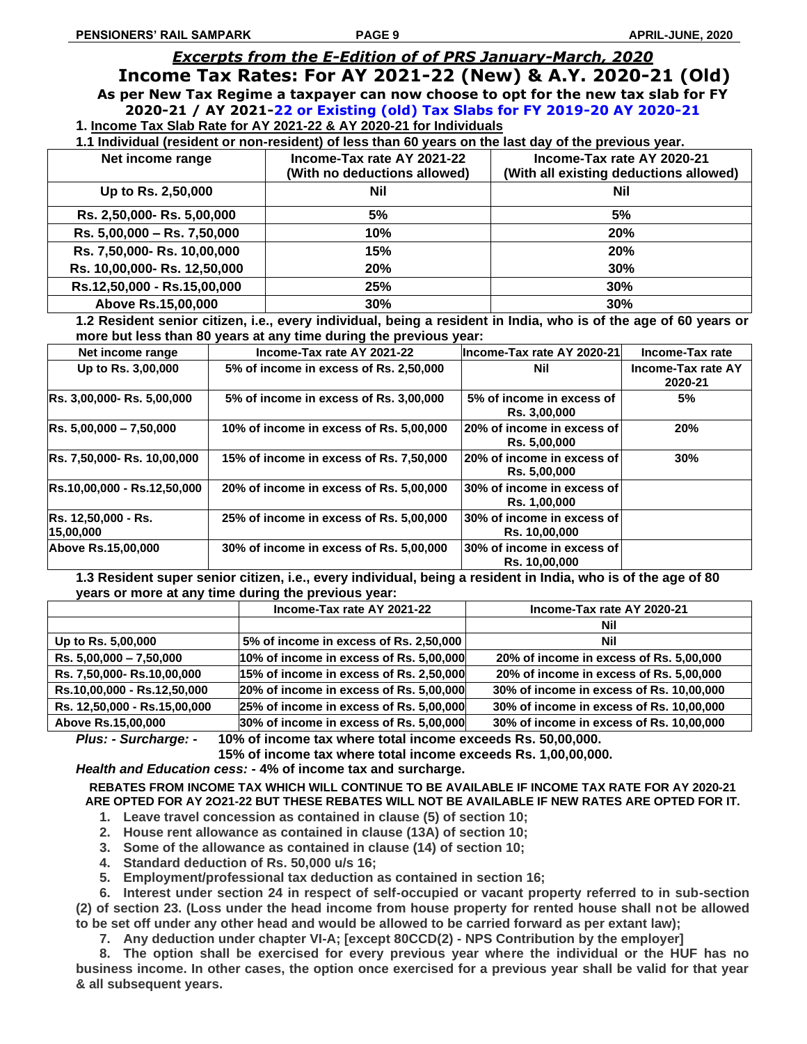# *Excerpts from the E-Edition of of PRS January-March, 2020*

**Income Tax Rates: For AY 2021-22 (New) & A.Y. 2020-21 (Old) As per New Tax Regime a taxpayer can now choose to opt for the new tax slab for FY 2020-21 / AY 2021-22 or Existing (old) Tax Slabs for FY 2019-20 AY 2020-21 1. Income Tax Slab Rate for AY 2021-22 & AY 2020-21 for Individuals**

**1.1 Individual (resident or non-resident) of less than 60 years on the last day of the previous year.**

| Net income range             | Income-Tax rate AY 2021-22<br>(With no deductions allowed) | Income-Tax rate AY 2020-21<br>(With all existing deductions allowed) |
|------------------------------|------------------------------------------------------------|----------------------------------------------------------------------|
| Up to Rs. 2,50,000           | Nil                                                        | Nil                                                                  |
| Rs. 2,50,000- Rs. 5,00,000   | 5%                                                         | 5%                                                                   |
| Rs. 5,00,000 - Rs. 7,50,000  | 10%                                                        | 20%                                                                  |
| Rs. 7,50,000- Rs. 10,00,000  | 15%                                                        | 20%                                                                  |
| Rs. 10,00,000- Rs. 12,50,000 | 20%                                                        | 30%                                                                  |
| Rs.12,50,000 - Rs.15,00,000  | 25%                                                        | 30%                                                                  |
| Above Rs.15,00,000           | 30%                                                        | 30%                                                                  |

**1.2 Resident senior citizen, i.e., every individual, being a resident in India, who is of the age of 60 years or more but less than 80 years at any time during the previous year:**

| Net income range                        | Income-Tax rate AY 2021-22              | Income-Tax rate AY 2020-21                  | Income-Tax rate                      |
|-----------------------------------------|-----------------------------------------|---------------------------------------------|--------------------------------------|
| Up to Rs. 3,00,000                      | 5% of income in excess of Rs. 2,50,000  | Nil                                         | <b>Income-Tax rate AY</b><br>2020-21 |
| Rs. 3,00,000- Rs. 5,00,000              | 5% of income in excess of Rs. 3,00,000  | 5% of income in excess of<br>Rs. 3,00,000   | 5%                                   |
| $RS. 5,00,000 - 7,50,000$               | 10% of income in excess of Rs. 5,00,000 | 20% of income in excess of<br>Rs. 5,00,000  | 20%                                  |
| Rs. 7,50,000- Rs. 10,00,000             | 15% of income in excess of Rs. 7,50,000 | 20% of income in excess of<br>Rs. 5,00,000  | 30%                                  |
| Rs.10,00,000 - Rs.12,50,000             | 20% of income in excess of Rs. 5,00,000 | 30% of income in excess of<br>Rs. 1,00,000  |                                      |
| <b>Rs. 12,50,000 - Rs.</b><br>15,00,000 | 25% of income in excess of Rs. 5,00,000 | 30% of income in excess of<br>Rs. 10,00,000 |                                      |
| Above Rs.15,00,000                      | 30% of income in excess of Rs. 5,00,000 | 30% of income in excess of<br>Rs. 10,00,000 |                                      |

**1.3 Resident super senior citizen, i.e., every individual, being a resident in India, who is of the age of 80 years or more at any time during the previous year:**

|                              | Income-Tax rate AY 2021-22                  | Income-Tax rate AY 2020-21                   |
|------------------------------|---------------------------------------------|----------------------------------------------|
|                              |                                             | Nil                                          |
| Up to Rs. 5,00,000           | 5% of income in excess of Rs. 2,50,000      | Nil                                          |
| $Rs. 5,00,000 - 7,50,000$    | $ 10\%$ of income in excess of Rs. 5,00,000 | 20% of income in excess of Rs. 5,00,000      |
| Rs. 7,50,000- Rs.10,00,000   | 15% of income in excess of Rs. 2,50,000     | 20% of income in excess of Rs. 5,00,000      |
| Rs.10,00,000 - Rs.12,50,000  | 20% of income in excess of Rs. 5,00,000     | 30% of income in excess of Rs. 10,00,000     |
| Rs. 12,50,000 - Rs.15,00,000 | 25% of income in excess of Rs. 5,00,000     | 30% of income in excess of Rs. 10,00,000     |
| Above Re 15 00 000           | $30\%$ of income in excess of Ps. 5.00,000  | $30\%$ of income in excess of $Be$ 10.00.000 |

**Above Rs.15,00,000 30% of income in excess of Rs. 5,00,000 30% of income in excess of Rs. 10,00,000** *Plus: - Surcharge: -* **10% of income tax where total income exceeds Rs. 50,00,000.**

**15% of income tax where total income exceeds Rs. 1,00,00,000.**

*Health and Education cess:* **- 4% of income tax and surcharge.**

**REBATES FROM INCOME TAX WHICH WILL CONTINUE TO BE AVAILABLE IF INCOME TAX RATE FOR AY 2020-21 ARE OPTED FOR AY 2O21-22 BUT THESE REBATES WILL NOT BE AVAILABLE IF NEW RATES ARE OPTED FOR IT.**

- **1. Leave travel concession as contained in clause (5) of section 10;**
- **2. House rent allowance as contained in clause (13A) of section 10;**
- **3. Some of the allowance as contained in clause (14) of section 10;**
- **4. Standard deduction of Rs. 50,000 u/s 16;**
- **5. Employment/professional tax deduction as contained in section 16;**

**6. Interest under section 24 in respect of self-occupied or vacant property referred to in sub-section (2) of section 23. (Loss under the head income from house property for rented house shall not be allowed to be set off under any other head and would be allowed to be carried forward as per extant law);**

**7. Any deduction under chapter VI-A; [except 80CCD(2) - NPS Contribution by the employer]**

**8. The option shall be exercised for every previous year where the individual or the HUF has no business income. In other cases, the option once exercised for a previous year shall be valid for that year & all subsequent years.**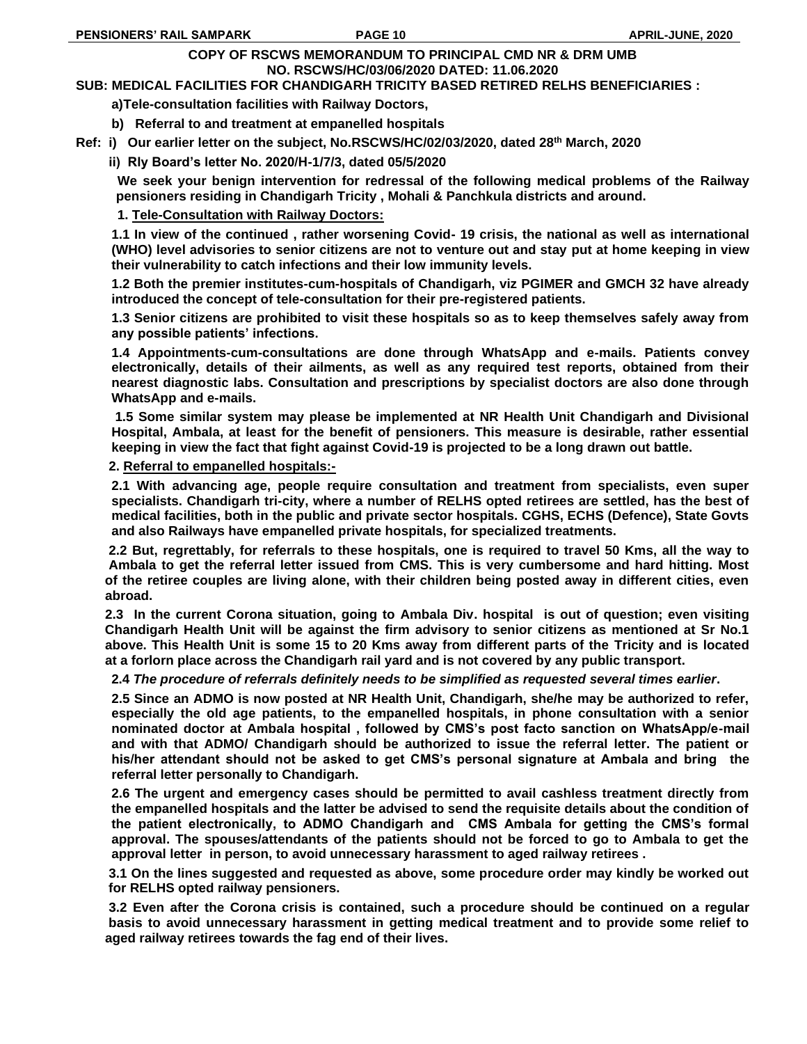#### **COPY OF RSCWS MEMORANDUM TO PRINCIPAL CMD NR & DRM UMB NO. RSCWS/HC/03/06/2020 DATED: 11.06.2020**

**SUB: MEDICAL FACILITIES FOR CHANDIGARH TRICITY BASED RETIRED RELHS BENEFICIARIES :**

**a)Tele-consultation facilities with Railway Doctors,**

**b) Referral to and treatment at empanelled hospitals**

**Ref: i) Our earlier letter on the subject, No.RSCWS/HC/02/03/2020, dated 28th March, 2020**

 **ii) Rly Board's letter No. 2020/H-1/7/3, dated 05/5/2020**

**We seek your benign intervention for redressal of the following medical problems of the Railway pensioners residing in Chandigarh Tricity , Mohali & Panchkula districts and around.**

# **1. Tele-Consultation with Railway Doctors:**

**1.1 In view of the continued , rather worsening Covid- 19 crisis, the national as well as international (WHO) level advisories to senior citizens are not to venture out and stay put at home keeping in view their vulnerability to catch infections and their low immunity levels.**

**1.2 Both the premier institutes-cum-hospitals of Chandigarh, viz PGIMER and GMCH 32 have already introduced the concept of tele-consultation for their pre-registered patients.** 

**1.3 Senior citizens are prohibited to visit these hospitals so as to keep themselves safely away from any possible patients' infections.** 

**1.4 Appointments-cum-consultations are done through WhatsApp and e-mails. Patients convey electronically, details of their ailments, as well as any required test reports, obtained from their nearest diagnostic labs. Consultation and prescriptions by specialist doctors are also done through WhatsApp and e-mails.**

**1.5 Some similar system may please be implemented at NR Health Unit Chandigarh and Divisional Hospital, Ambala, at least for the benefit of pensioners. This measure is desirable, rather essential keeping in view the fact that fight against Covid-19 is projected to be a long drawn out battle.**

## **2. Referral to empanelled hospitals:-**

**2.1 With advancing age, people require consultation and treatment from specialists, even super specialists. Chandigarh tri-city, where a number of RELHS opted retirees are settled, has the best of medical facilities, both in the public and private sector hospitals. CGHS, ECHS (Defence), State Govts and also Railways have empanelled private hospitals, for specialized treatments.** 

 **2.2 But, regrettably, for referrals to these hospitals, one is required to travel 50 Kms, all the way to Ambala to get the referral letter issued from CMS. This is very cumbersome and hard hitting. Most of the retiree couples are living alone, with their children being posted away in different cities, even abroad.** 

 **2.3 In the current Corona situation, going to Ambala Div. hospital is out of question; even visiting Chandigarh Health Unit will be against the firm advisory to senior citizens as mentioned at Sr No.1 above. This Health Unit is some 15 to 20 Kms away from different parts of the Tricity and is located at a forlorn place across the Chandigarh rail yard and is not covered by any public transport.** 

**2.4** *The procedure of referrals definitely needs to be simplified as requested several times earlier***.**

**2.5 Since an ADMO is now posted at NR Health Unit, Chandigarh, she/he may be authorized to refer, especially the old age patients, to the empanelled hospitals, in phone consultation with a senior nominated doctor at Ambala hospital , followed by CMS's post facto sanction on WhatsApp/e-mail and with that ADMO/ Chandigarh should be authorized to issue the referral letter. The patient or his/her attendant should not be asked to get CMS's personal signature at Ambala and bring the referral letter personally to Chandigarh.**

**2.6 The urgent and emergency cases should be permitted to avail cashless treatment directly from the empanelled hospitals and the latter be advised to send the requisite details about the condition of the patient electronically, to ADMO Chandigarh and CMS Ambala for getting the CMS's formal approval. The spouses/attendants of the patients should not be forced to go to Ambala to get the approval letter in person, to avoid unnecessary harassment to aged railway retirees .**

 **3.1 On the lines suggested and requested as above, some procedure order may kindly be worked out for RELHS opted railway pensioners.**

 **3.2 Even after the Corona crisis is contained, such a procedure should be continued on a regular basis to avoid unnecessary harassment in getting medical treatment and to provide some relief to aged railway retirees towards the fag end of their lives.**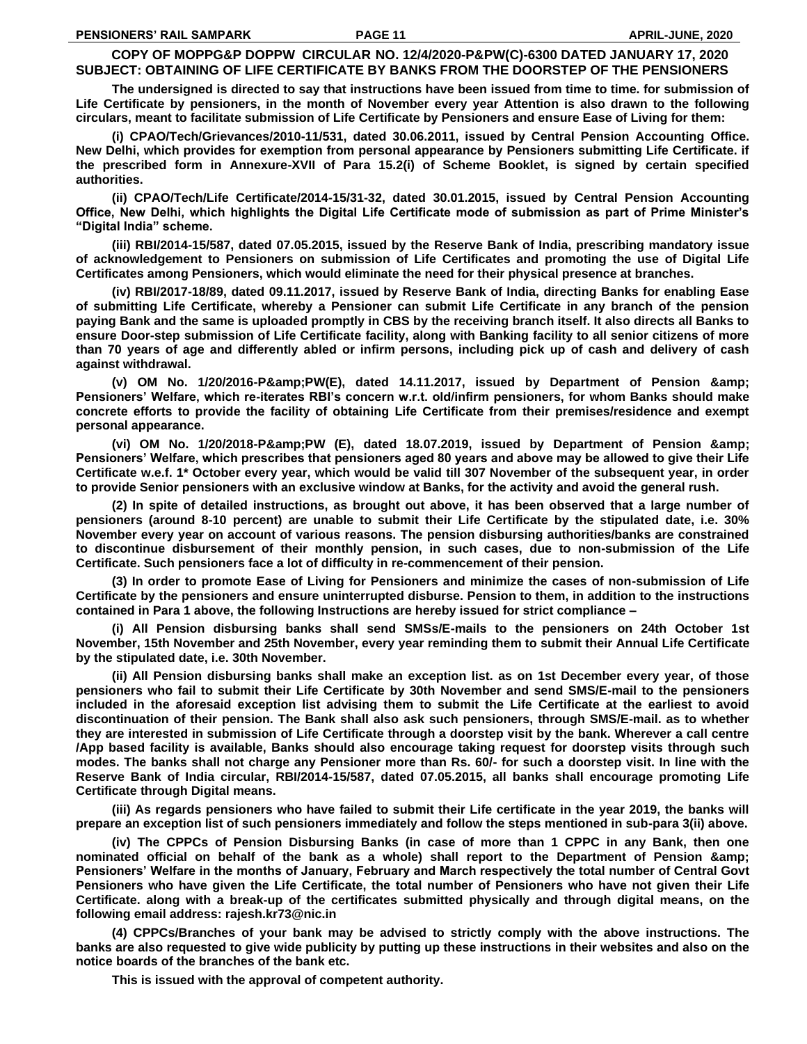# **COPY OF MOPPG&P DOPPW CIRCULAR NO. 12/4/2020-P&PW(C)-6300 DATED JANUARY 17, 2020 SUBJECT: OBTAINING OF LIFE CERTIFICATE BY BANKS FROM THE DOORSTEP OF THE PENSIONERS**

**The undersigned is directed to say that instructions have been issued from time to time. for submission of Life Certificate by pensioners, in the month of November every year Attention is also drawn to the following circulars, meant to facilitate submission of Life Certificate by Pensioners and ensure Ease of Living for them:**

**(i) CPAO/Tech/Grievances/2010-11/531, dated 30.06.2011, issued by Central Pension Accounting Office. New Delhi, which provides for exemption from personal appearance by Pensioners submitting Life Certificate. if the prescribed form in Annexure-XVII of Para 15.2(i) of Scheme Booklet, is signed by certain specified authorities.**

**(ii) CPAO/Tech/Life Certificate/2014-15/31-32, dated 30.01.2015, issued by Central Pension Accounting Office, New Delhi, which highlights the Digital Life Certificate mode of submission as part of Prime Minister's "Digital India" scheme.**

**(iii) RBI/2014-15/587, dated 07.05.2015, issued by the Reserve Bank of India, prescribing mandatory issue of acknowledgement to Pensioners on submission of Life Certificates and promoting the use of Digital Life Certificates among Pensioners, which would eliminate the need for their physical presence at branches.**

**(iv) RBI/2017-18/89, dated 09.11.2017, issued by Reserve Bank of India, directing Banks for enabling Ease of submitting Life Certificate, whereby a Pensioner can submit Life Certificate in any branch of the pension paying Bank and the same is uploaded promptly in CBS by the receiving branch itself. It also directs all Banks to ensure Door-step submission of Life Certificate facility, along with Banking facility to all senior citizens of more than 70 years of age and differently abled or infirm persons, including pick up of cash and delivery of cash against withdrawal.**

(v) OM No. 1/20/2016-P&PW(E), dated 14.11.2017, issued by Department of Pension & amp; **Pensioners' Welfare, which re-iterates RBI's concern w.r.t. old/infirm pensioners, for whom Banks should make concrete efforts to provide the facility of obtaining Life Certificate from their premises/residence and exempt personal appearance.**

(vi) OM No. 1/20/2018-P&PW (E), dated 18.07.2019, issued by Department of Pension & amp; **Pensioners' Welfare, which prescribes that pensioners aged 80 years and above may be allowed to give their Life Certificate w.e.f. 1\* October every year, which would be valid till 307 November of the subsequent year, in order to provide Senior pensioners with an exclusive window at Banks, for the activity and avoid the general rush.**

**(2) In spite of detailed instructions, as brought out above, it has been observed that a large number of pensioners (around 8-10 percent) are unable to submit their Life Certificate by the stipulated date, i.e. 30% November every year on account of various reasons. The pension disbursing authorities/banks are constrained to discontinue disbursement of their monthly pension, in such cases, due to non-submission of the Life Certificate. Such pensioners face a lot of difficulty in re-commencement of their pension.**

**(3) In order to promote Ease of Living for Pensioners and minimize the cases of non-submission of Life Certificate by the pensioners and ensure uninterrupted disburse. Pension to them, in addition to the instructions contained in Para 1 above, the following Instructions are hereby issued for strict compliance –**

**(i) All Pension disbursing banks shall send SMSs/E-mails to the pensioners on 24th October 1st November, 15th November and 25th November, every year reminding them to submit their Annual Life Certificate by the stipulated date, i.e. 30th November.**

**(ii) All Pension disbursing banks shall make an exception list. as on 1st December every year, of those pensioners who fail to submit their Life Certificate by 30th November and send SMS/E-mail to the pensioners included in the aforesaid exception list advising them to submit the Life Certificate at the earliest to avoid discontinuation of their pension. The Bank shall also ask such pensioners, through SMS/E-mail. as to whether they are interested in submission of Life Certificate through a doorstep visit by the bank. Wherever a call centre /App based facility is available, Banks should also encourage taking request for doorstep visits through such modes. The banks shall not charge any Pensioner more than Rs. 60/- for such a doorstep visit. In line with the Reserve Bank of India circular, RBI/2014-15/587, dated 07.05.2015, all banks shall encourage promoting Life Certificate through Digital means.**

**(iii) As regards pensioners who have failed to submit their Life certificate in the year 2019, the banks will prepare an exception list of such pensioners immediately and follow the steps mentioned in sub-para 3(ii) above.**

**(iv) The CPPCs of Pension Disbursing Banks (in case of more than 1 CPPC in any Bank, then one nominated official on behalf of the bank as a whole) shall report to the Department of Pension & Pensioners' Welfare in the months of January, February and March respectively the total number of Central Govt Pensioners who have given the Life Certificate, the total number of Pensioners who have not given their Life Certificate. along with a break-up of the certificates submitted physically and through digital means, on the following email address: rajesh.kr73@nic.in**

**(4) CPPCs/Branches of your bank may be advised to strictly comply with the above instructions. The banks are also requested to give wide publicity by putting up these instructions in their websites and also on the notice boards of the branches of the bank etc.**

**This is issued with the approval of competent authority.**